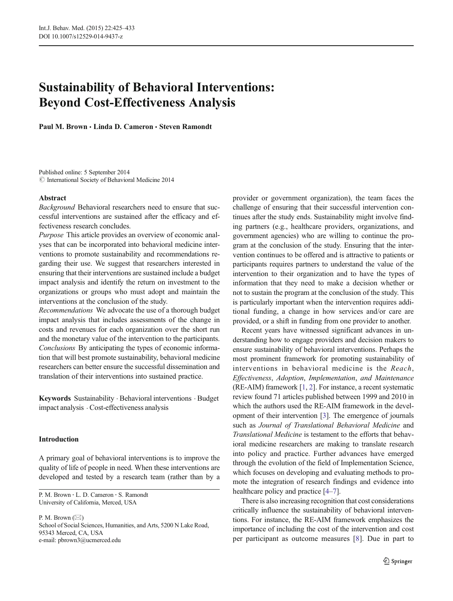# Sustainability of Behavioral Interventions: Beyond Cost-Effectiveness Analysis

Paul M. Brown · Linda D. Cameron · Steven Ramondt

Published online: 5 September 2014  $\odot$  International Society of Behavioral Medicine 2014

## Abstract

Background Behavioral researchers need to ensure that successful interventions are sustained after the efficacy and effectiveness research concludes.

Purpose This article provides an overview of economic analyses that can be incorporated into behavioral medicine interventions to promote sustainability and recommendations regarding their use. We suggest that researchers interested in ensuring that their interventions are sustained include a budget impact analysis and identify the return on investment to the organizations or groups who must adopt and maintain the interventions at the conclusion of the study.

Recommendations We advocate the use of a thorough budget impact analysis that includes assessments of the change in costs and revenues for each organization over the short run and the monetary value of the intervention to the participants. Conclusions By anticipating the types of economic information that will best promote sustainability, behavioral medicine researchers can better ensure the successful dissemination and translation of their interventions into sustained practice.

Keywords Sustainability . Behavioral interventions . Budget impact analysis . Cost-effectiveness analysis

## Introduction

A primary goal of behavioral interventions is to improve the quality of life of people in need. When these interventions are developed and tested by a research team (rather than by a

P. M. Brown : L. D. Cameron : S. Ramondt University of California, Merced, USA

P. M. Brown  $(\boxtimes)$ School of Social Sciences, Humanities, and Arts, 5200 N Lake Road, 95343 Merced, CA, USA e-mail: pbrown3@ucmerced.edu

provider or government organization), the team faces the challenge of ensuring that their successful intervention continues after the study ends. Sustainability might involve finding partners (e.g., healthcare providers, organizations, and government agencies) who are willing to continue the program at the conclusion of the study. Ensuring that the intervention continues to be offered and is attractive to patients or participants requires partners to understand the value of the intervention to their organization and to have the types of information that they need to make a decision whether or not to sustain the program at the conclusion of the study. This is particularly important when the intervention requires additional funding, a change in how services and/or care are provided, or a shift in funding from one provider to another.

Recent years have witnessed significant advances in understanding how to engage providers and decision makers to ensure sustainability of behavioral interventions. Perhaps the most prominent framework for promoting sustainability of interventions in behavioral medicine is the Reach, Effectiveness, Adoption, Implementation, and Maintenance (RE-AIM) framework [\[1,](#page-7-0) [2](#page-7-0)]. For instance, a recent systematic review found 71 articles published between 1999 and 2010 in which the authors used the RE-AIM framework in the development of their intervention [\[3](#page-7-0)]. The emergence of journals such as Journal of Translational Behavioral Medicine and Translational Medicine is testament to the efforts that behavioral medicine researchers are making to translate research into policy and practice. Further advances have emerged through the evolution of the field of Implementation Science, which focuses on developing and evaluating methods to promote the integration of research findings and evidence into healthcare policy and practice [\[4](#page-7-0)–[7\]](#page-7-0).

There is also increasing recognition that cost considerations critically influence the sustainability of behavioral interventions. For instance, the RE-AIM framework emphasizes the importance of including the cost of the intervention and cost per participant as outcome measures [[8\]](#page-7-0). Due in part to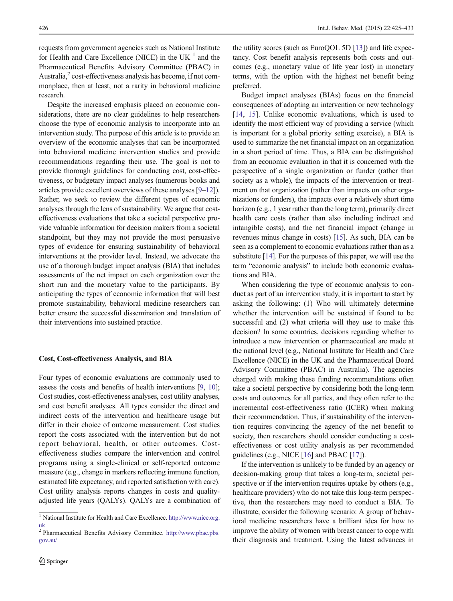requests from government agencies such as National Institute for Health and Care Excellence (NICE) in the UK $<sup>1</sup>$  and the</sup> Pharmaceutical Benefits Advisory Committee (PBAC) in Australia, $\frac{2}{3}$  cost-effectiveness analysis has become, if not commonplace, then at least, not a rarity in behavioral medicine research.

Despite the increased emphasis placed on economic considerations, there are no clear guidelines to help researchers choose the type of economic analysis to incorporate into an intervention study. The purpose of this article is to provide an overview of the economic analyses that can be incorporated into behavioral medicine intervention studies and provide recommendations regarding their use. The goal is not to provide thorough guidelines for conducting cost, cost-effectiveness, or budgetary impact analyses (numerous books and articles provide excellent overviews of these analyses [[9](#page-7-0)–[12](#page-7-0)]). Rather, we seek to review the different types of economic analyses through the lens of sustainability. We argue that costeffectiveness evaluations that take a societal perspective provide valuable information for decision makers from a societal standpoint, but they may not provide the most persuasive types of evidence for ensuring sustainability of behavioral interventions at the provider level. Instead, we advocate the use of a thorough budget impact analysis (BIA) that includes assessments of the net impact on each organization over the short run and the monetary value to the participants. By anticipating the types of economic information that will best promote sustainability, behavioral medicine researchers can better ensure the successful dissemination and translation of their interventions into sustained practice.

#### Cost, Cost-effectiveness Analysis, and BIA

Four types of economic evaluations are commonly used to assess the costs and benefits of health interventions [[9,](#page-7-0) [10](#page-7-0)]; Cost studies, cost-effectiveness analyses, cost utility analyses, and cost benefit analyses. All types consider the direct and indirect costs of the intervention and healthcare usage but differ in their choice of outcome measurement. Cost studies report the costs associated with the intervention but do not report behavioral, health, or other outcomes. Costeffectiveness studies compare the intervention and control programs using a single-clinical or self-reported outcome measure (e.g., change in markers reflecting immune function, estimated life expectancy, and reported satisfaction with care). Cost utility analysis reports changes in costs and qualityadjusted life years (QALYs). QALYs are a combination of

the utility scores (such as EuroQOL 5D [\[13](#page-7-0)]) and life expectancy. Cost benefit analysis represents both costs and outcomes (e.g., monetary value of life year lost) in monetary terms, with the option with the highest net benefit being preferred.

Budget impact analyses (BIAs) focus on the financial consequences of adopting an intervention or new technology [\[14,](#page-7-0) [15](#page-7-0)]. Unlike economic evaluations, which is used to identify the most efficient way of providing a service (which is important for a global priority setting exercise), a BIA is used to summarize the net financial impact on an organization in a short period of time. Thus, a BIA can be distinguished from an economic evaluation in that it is concerned with the perspective of a single organization or funder (rather than society as a whole), the impacts of the intervention or treatment on that organization (rather than impacts on other organizations or funders), the impacts over a relatively short time horizon (e.g., 1 year rather than the long term), primarily direct health care costs (rather than also including indirect and intangible costs), and the net financial impact (change in revenues minus change in costs) [[15](#page-7-0)]. As such, BIA can be seen as a complement to economic evaluations rather than as a substitute [[14](#page-7-0)]. For the purposes of this paper, we will use the term "economic analysis" to include both economic evaluations and BIA.

When considering the type of economic analysis to conduct as part of an intervention study, it is important to start by asking the following: (1) Who will ultimately determine whether the intervention will be sustained if found to be successful and (2) what criteria will they use to make this decision? In some countries, decisions regarding whether to introduce a new intervention or pharmaceutical are made at the national level (e.g., National Institute for Health and Care Excellence (NICE) in the UK and the Pharmaceutical Board Advisory Committee (PBAC) in Australia). The agencies charged with making these funding recommendations often take a societal perspective by considering both the long-term costs and outcomes for all parties, and they often refer to the incremental cost-effectiveness ratio (ICER) when making their recommendation. Thus, if sustainability of the intervention requires convincing the agency of the net benefit to society, then researchers should consider conducting a costeffectiveness or cost utility analysis as per recommended guidelines (e.g., NICE [\[16\]](#page-7-0) and PBAC [[17\]](#page-7-0)).

If the intervention is unlikely to be funded by an agency or decision-making group that takes a long-term, societal perspective or if the intervention requires uptake by others (e.g., healthcare providers) who do not take this long-term perspective, then the researchers may need to conduct a BIA. To illustrate, consider the following scenario: A group of behavioral medicine researchers have a brilliant idea for how to improve the ability of women with breast cancer to cope with their diagnosis and treatment. Using the latest advances in

<sup>&</sup>lt;sup>1</sup> National Institute for Health and Care Excellence. http://www.nice.org.

uk <sup>2</sup> Pharmaceutical Benefits Advisory Committee. http://www.pbac.pbs. gov.au/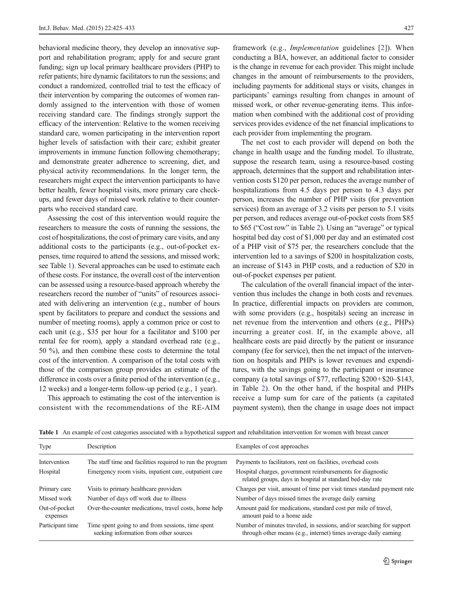behavioral medicine theory, they develop an innovative support and rehabilitation program; apply for and secure grant funding; sign up local primary healthcare providers (PHP) to refer patients; hire dynamic facilitators to run the sessions; and conduct a randomized, controlled trial to test the efficacy of their intervention by comparing the outcomes of women randomly assigned to the intervention with those of women receiving standard care. The findings strongly support the efficacy of the intervention: Relative to the women receiving standard care, women participating in the intervention report higher levels of satisfaction with their care; exhibit greater improvements in immune function following chemotherapy; and demonstrate greater adherence to screening, diet, and physical activity recommendations. In the longer term, the researchers might expect the intervention participants to have better health, fewer hospital visits, more primary care checkups, and fewer days of missed work relative to their counterparts who received standard care.

Assessing the cost of this intervention would require the researchers to measure the costs of running the sessions, the cost of hospitalizations, the cost of primary care visits, and any additional costs to the participants (e.g., out-of-pocket expenses, time required to attend the sessions, and missed work; see Table 1). Several approaches can be used to estimate each of these costs. For instance, the overall cost of the intervention can be assessed using a resource-based approach whereby the researchers record the number of "units" of resources associated with delivering an intervention (e.g., number of hours spent by facilitators to prepare and conduct the sessions and number of meeting rooms), apply a common price or cost to each unit (e.g., \$35 per hour for a facilitator and \$100 per rental fee for room), apply a standard overhead rate (e.g., 50 %), and then combine these costs to determine the total cost of the intervention. A comparison of the total costs with those of the comparison group provides an estimate of the difference in costs over a finite period of the intervention (e.g., 12 weeks) and a longer-term follow-up period (e.g., 1 year).

This approach to estimating the cost of the intervention is consistent with the recommendations of the RE-AIM

framework (e.g., Implementation guidelines [[2\]](#page-7-0)). When conducting a BIA, however, an additional factor to consider is the change in revenue for each provider. This might include changes in the amount of reimbursements to the providers, including payments for additional stays or visits, changes in participants' earnings resulting from changes in amount of missed work, or other revenue-generating items. This information when combined with the additional cost of providing services provides evidence of the net financial implications to each provider from implementing the program.

The net cost to each provider will depend on both the change in health usage and the funding model. To illustrate, suppose the research team, using a resource-based costing approach, determines that the support and rehabilitation intervention costs \$120 per person, reduces the average number of hospitalizations from 4.5 days per person to 4.3 days per person, increases the number of PHP visits (for prevention services) from an average of 3.2 visits per person to 5.1 visits per person, and reduces average out-of-pocket costs from \$85 to \$65 ("Cost row" in Table [2](#page-3-0)). Using an "average" or typical hospital bed day cost of \$1,000 per day and an estimated cost of a PHP visit of \$75 per, the researchers conclude that the intervention led to a savings of \$200 in hospitalization costs, an increase of \$143 in PHP costs, and a reduction of \$20 in out-of-pocket expenses per patient.

The calculation of the overall financial impact of the intervention thus includes the change in both costs and revenues. In practice, differential impacts on providers are common, with some providers (e.g., hospitals) seeing an increase in net revenue from the intervention and others (e.g., PHPs) incurring a greater cost. If, in the example above, all healthcare costs are paid directly by the patient or insurance company (fee for service), then the net impact of the intervention on hospitals and PHPs is lower revenues and expenditures, with the savings going to the participant or insurance company (a total savings of \$77, reflecting \$200+\$20–\$143, in Table [2](#page-3-0)). On the other hand, if the hospital and PHPs receive a lump sum for care of the patients (a capitated payment system), then the change in usage does not impact

| Type                      | Description                                                                                 | Examples of cost approaches                                                                                                               |
|---------------------------|---------------------------------------------------------------------------------------------|-------------------------------------------------------------------------------------------------------------------------------------------|
| Intervention              | The staff time and facilities required to run the program                                   | Payments to facilitators, rent on facilities, overhead costs                                                                              |
| Hospital                  | Emergency room visits, inpatient care, outpatient care                                      | Hospital charges, government reimbursements for diagnostic<br>related groups, days in hospital at standard bed-day rate                   |
| Primary care              | Visits to primary healthcare providers                                                      | Charges per visit, amount of time per visit times standard payment rate                                                                   |
| Missed work               | Number of days off work due to illness                                                      | Number of days missed times the average daily earning                                                                                     |
| Out-of-pocket<br>expenses | Over-the-counter medications, travel costs, home help                                       | Amount paid for medications, standard cost per mile of travel,<br>amount paid to a home aide                                              |
| Participant time          | Time spent going to and from sessions, time spent<br>seeking information from other sources | Number of minutes traveled, in sessions, and/or searching for support<br>through other means (e.g., internet) times average daily earning |

Table 1 An example of cost categories associated with a hypothetical support and rehabilitation intervention for women with breast cancer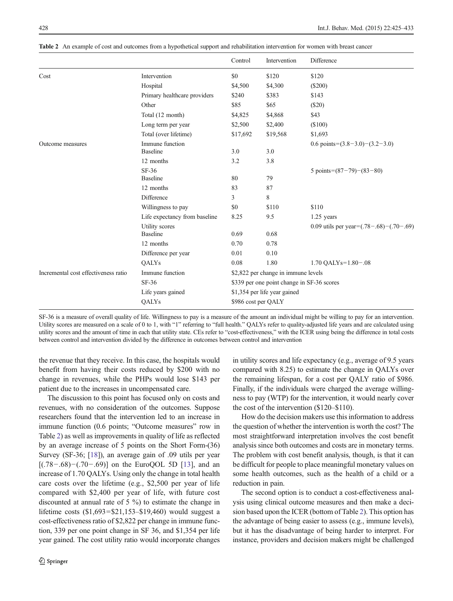|                                      |                                    | Control  | Intervention                               | Difference                                     |  |  |
|--------------------------------------|------------------------------------|----------|--------------------------------------------|------------------------------------------------|--|--|
| Cost                                 | Intervention                       | \$0      | \$120                                      | \$120                                          |  |  |
|                                      | Hospital                           | \$4,500  | \$4,300                                    | $(\$200)$                                      |  |  |
|                                      | Primary healthcare providers       | \$240    | \$383                                      | \$143                                          |  |  |
|                                      | Other                              | \$85     | \$65                                       | (\$20)                                         |  |  |
|                                      | Total (12 month)                   | \$4,825  | \$4,868                                    | \$43                                           |  |  |
|                                      | Long term per year                 | \$2,500  | \$2,400                                    | (\$100)                                        |  |  |
|                                      | Total (over lifetime)              | \$17,692 | \$19,568                                   | \$1,693                                        |  |  |
| Outcome measures                     | Immune function<br><b>Baseline</b> | 3.0      | 3.0                                        | 0.6 points= $(3.8-3.0)$ – $(3.2-3.0)$          |  |  |
|                                      | 12 months                          | 3.2      | 3.8                                        |                                                |  |  |
|                                      | $SF-36$<br><b>Baseline</b>         | 80       | 79                                         | 5 points= $(87-79)-(83-80)$                    |  |  |
|                                      | 12 months                          | 83       | 87                                         |                                                |  |  |
|                                      | Difference                         | 3        | 8                                          |                                                |  |  |
|                                      | Willingness to pay                 | \$0      | \$110                                      | \$110                                          |  |  |
|                                      | Life expectancy from baseline      | 8.25     | 9.5                                        | $1.25$ years                                   |  |  |
|                                      | Utility scores<br><b>Baseline</b>  | 0.69     | 0.68                                       | 0.09 utils per year= $(.78-.68)$ – $(.70-.69)$ |  |  |
|                                      | 12 months                          | 0.70     | 0.78                                       |                                                |  |  |
|                                      | Difference per year                | 0.01     | 0.10                                       |                                                |  |  |
|                                      | QALYs                              | 0.08     | 1.80                                       | $1.70$ QALYs= $1.80-.08$                       |  |  |
| Incremental cost effectiveness ratio | Immune function                    |          | \$2,822 per change in immune levels        |                                                |  |  |
|                                      | $SF-36$                            |          | \$339 per one point change in SF-36 scores |                                                |  |  |
|                                      | Life years gained                  |          | \$1,354 per life year gained               |                                                |  |  |
|                                      | QALYs                              |          | \$986 cost per QALY                        |                                                |  |  |

<span id="page-3-0"></span>Table 2 An example of cost and outcomes from a hypothetical support and rehabilitation intervention for women with breast cancer

SF-36 is a measure of overall quality of life. Willingness to pay is a measure of the amount an individual might be willing to pay for an intervention. Utility scores are measured on a scale of 0 to 1, with "1" referring to "full health." QALYs refer to quality-adjusted life years and are calculated using utility scores and the amount of time in each that utility state. CEs refer to "cost-effectiveness," with the ICER using being the difference in total costs between control and intervention divided by the difference in outcomes between control and intervention

the revenue that they receive. In this case, the hospitals would benefit from having their costs reduced by \$200 with no change in revenues, while the PHPs would lose \$143 per patient due to the increases in uncompensated care.

The discussion to this point has focused only on costs and revenues, with no consideration of the outcomes. Suppose researchers found that the intervention led to an increase in immune function (0.6 points; "Outcome measures" row in Table 2) as well as improvements in quality of life as reflected by an average increase of 5 points on the Short Form-(36) Survey (SF-36; [[18\]](#page-7-0)), an average gain of .09 utils per year [(.78−.68)−(.70−.69)] on the EuroQOL 5D [\[13](#page-7-0)], and an increase of 1.70 QALYs. Using only the change in total health care costs over the lifetime (e.g., \$2,500 per year of life compared with \$2,400 per year of life, with future cost discounted at annual rate of 5 %) to estimate the change in lifetime costs (\$1,693=\$21,153–\$19,460) would suggest a cost-effectiveness ratio of \$2,822 per change in immune function, 339 per one point change in SF 36, and \$1,354 per life year gained. The cost utility ratio would incorporate changes in utility scores and life expectancy (e.g., average of 9.5 years compared with 8.25) to estimate the change in QALYs over the remaining lifespan, for a cost per QALY ratio of \$986. Finally, if the individuals were charged the average willingness to pay (WTP) for the intervention, it would nearly cover the cost of the intervention (\$120–\$110).

How do the decision makers use this information to address the question of whether the intervention is worth the cost? The most straightforward interpretation involves the cost benefit analysis since both outcomes and costs are in monetary terms. The problem with cost benefit analysis, though, is that it can be difficult for people to place meaningful monetary values on some health outcomes, such as the health of a child or a reduction in pain.

The second option is to conduct a cost-effectiveness analysis using clinical outcome measures and then make a decision based upon the ICER (bottom of Table 2). This option has the advantage of being easier to assess (e.g., immune levels), but it has the disadvantage of being harder to interpret. For instance, providers and decision makers might be challenged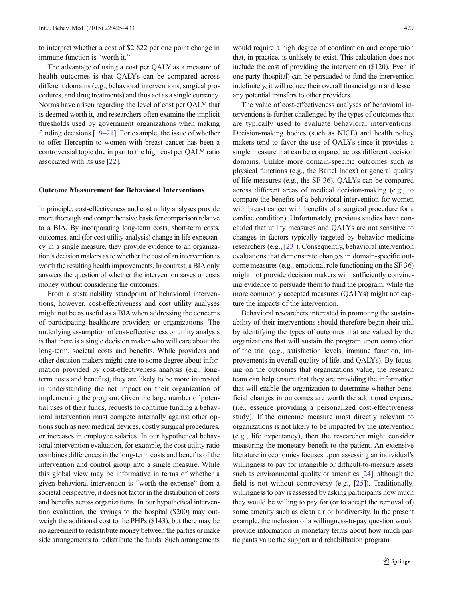to interpret whether a cost of \$2,822 per one point change in immune function is "worth it."

The advantage of using a cost per QALY as a measure of health outcomes is that QALYs can be compared across different domains (e.g., behavioral interventions, surgical procedures, and drug treatments) and thus act as a single currency. Norms have arisen regarding the level of cost per QALY that is deemed worth it, and researchers often examine the implicit thresholds used by government organizations when making funding decisions [\[19](#page-7-0)–[21\]](#page-7-0). For example, the issue of whether to offer Herceptin to women with breast cancer has been a controversial topic due in part to the high cost per QALY ratio associated with its use [\[22](#page-8-0)].

### Outcome Measurement for Behavioral Interventions

In principle, cost-effectiveness and cost utility analyses provide more thorough and comprehensive basis for comparison relative to a BIA. By incorporating long-term costs, short-term costs, outcomes, and (for cost utility analysis) change in life expectancy in a single measure, they provide evidence to an organization's decision makers as to whether the cost of an intervention is worth the resulting health improvements. In contrast, a BIA only answers the question of whether the intervention saves or costs money without considering the outcomes.

From a sustainability standpoint of behavioral interventions, however, cost-effectiveness and cost utility analyses might not be as useful as a BIA when addressing the concerns of participating healthcare providers or organizations. The underlying assumption of cost-effectiveness or utility analysis is that there is a single decision maker who will care about the long-term, societal costs and benefits. While providers and other decision makers might care to some degree about information provided by cost-effectiveness analysis (e.g., longterm costs and benefits), they are likely to be more interested in understanding the net impact on their organization of implementing the program. Given the large number of potential uses of their funds, requests to continue funding a behavioral intervention must compete internally against other options such as new medical devices, costly surgical procedures, or increases in employee salaries. In our hypothetical behavioral intervention evaluation, for example, the cost utility ratio combines differences in the long-term costs and benefits of the intervention and control group into a single measure. While this global view may be informative in terms of whether a given behavioral intervention is "worth the expense" from a societal perspective, it does not factor in the distribution of costs and benefits across organizations. In our hypothetical intervention evaluation, the savings to the hospital (\$200) may outweigh the additional cost to the PHPs (\$143), but there may be no agreement to redistribute money between the parties or make side arrangements to redistribute the funds. Such arrangements

would require a high degree of coordination and cooperation that, in practice, is unlikely to exist. This calculation does not include the cost of providing the intervention (\$120). Even if one party (hospital) can be persuaded to fund the intervention indefinitely, it will reduce their overall financial gain and lessen any potential transfers to other providers.

The value of cost-effectiveness analyses of behavioral interventions is further challenged by the types of outcomes that are typically used to evaluate behavioral interventions. Decision-making bodies (such as NICE) and health policy makers tend to favor the use of QALYs since it provides a single measure that can be compared across different decision domains. Unlike more domain-specific outcomes such as physical functions (e.g., the Bartel Index) or general quality of life measures (e.g., the SF 36), QALYs can be compared across different areas of medical decision-making (e.g., to compare the benefits of a behavioral intervention for women with breast cancer with benefits of a surgical procedure for a cardiac condition). Unfortunately, previous studies have concluded that utility measures and QALYs are not sensitive to changes in factors typically targeted by behavior medicine researchers (e.g., [\[23](#page-8-0)]). Consequently, behavioral intervention evaluations that demonstrate changes in domain-specific outcome measures (e.g., emotional role functioning on the SF 36) might not provide decision makers with sufficiently convincing evidence to persuade them to fund the program, while the more commonly accepted measures (QALYs) might not capture the impacts of the intervention.

Behavioral researchers interested in promoting the sustainability of their interventions should therefore begin their trial by identifying the types of outcomes that are valued by the organizations that will sustain the program upon completion of the trial (e.g., satisfaction levels, immune function, improvements in overall quality of life, and QALYs). By focusing on the outcomes that organizations value, the research team can help ensure that they are providing the information that will enable the organization to determine whether beneficial changes in outcomes are worth the additional expense (i.e., essence providing a personalized cost-effectiveness study). If the outcome measure most directly relevant to organizations is not likely to be impacted by the intervention (e.g., life expectancy), then the researcher might consider measuring the monetary benefit to the patient. An extensive literature in economics focuses upon assessing an individual's willingness to pay for intangible or difficult-to-measure assets such as environmental quality or amenities [\[24\]](#page-8-0), although the field is not without controversy (e.g., [\[25](#page-8-0)]). Traditionally, willingness to pay is assessed by asking participants how much they would be willing to pay for (or to accept the removal of) some amenity such as clean air or biodiversity. In the present example, the inclusion of a willingness-to-pay question would provide information in monetary terms about how much participants value the support and rehabilitation program.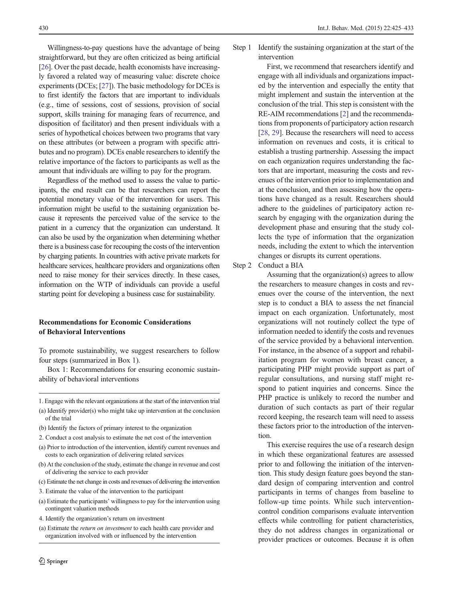Willingness-to-pay questions have the advantage of being straightforward, but they are often criticized as being artificial [\[26\]](#page-8-0). Over the past decade, health economists have increasingly favored a related way of measuring value: discrete choice experiments (DCEs; [\[27](#page-8-0)]). The basic methodology for DCEs is to first identify the factors that are important to individuals (e.g., time of sessions, cost of sessions, provision of social support, skills training for managing fears of recurrence, and disposition of facilitator) and then present individuals with a series of hypothetical choices between two programs that vary on these attributes (or between a program with specific attributes and no program). DCEs enable researchers to identify the relative importance of the factors to participants as well as the amount that individuals are willing to pay for the program.

Regardless of the method used to assess the value to participants, the end result can be that researchers can report the potential monetary value of the intervention for users. This information might be useful to the sustaining organization because it represents the perceived value of the service to the patient in a currency that the organization can understand. It can also be used by the organization when determining whether there is a business case for recouping the costs of the intervention by charging patients. In countries with active private markets for healthcare services, healthcare providers and organizations often need to raise money for their services directly. In these cases, information on the WTP of individuals can provide a useful starting point for developing a business case for sustainability.

# Recommendations for Economic Considerations of Behavioral Interventions

To promote sustainability, we suggest researchers to follow four steps (summarized in Box 1).

Box 1: Recommendations for ensuring economic sustainability of behavioral interventions

- 1. Engage with the relevant organizations at the start of the intervention trial
- (a) Identify provider(s) who might take up intervention at the conclusion of the trial
- (b) Identify the factors of primary interest to the organization
- 2. Conduct a cost analysis to estimate the net cost of the intervention
- (a) Prior to introduction of the intervention, identify current revenues and costs to each organization of delivering related services
- (b) At the conclusion of the study, estimate the change in revenue and cost of delivering the service to each provider
- (c) Estimate the net change in costs and revenues of delivering the intervention
- 3. Estimate the value of the intervention to the participant
- (a) Estimate the participants' willingness to pay for the intervention using contingent valuation methods
- 4. Identify the organization's return on investment
- (a) Estimate the return on investment to each health care provider and organization involved with or influenced by the intervention

Step 1 Identify the sustaining organization at the start of the intervention

> First, we recommend that researchers identify and engage with all individuals and organizations impacted by the intervention and especially the entity that might implement and sustain the intervention at the conclusion of the trial. This step is consistent with the RE-AIM recommendations [\[2](#page-7-0)] and the recommendations from proponents of participatory action research [[28](#page-8-0), [29](#page-8-0)]. Because the researchers will need to access information on revenues and costs, it is critical to establish a trusting partnership. Assessing the impact on each organization requires understanding the factors that are important, measuring the costs and revenues of the intervention prior to implementation and at the conclusion, and then assessing how the operations have changed as a result. Researchers should adhere to the guidelines of participatory action research by engaging with the organization during the development phase and ensuring that the study collects the type of information that the organization needs, including the extent to which the intervention changes or disrupts its current operations.

Step 2 Conduct a BIA

Assuming that the organization(s) agrees to allow the researchers to measure changes in costs and revenues over the course of the intervention, the next step is to conduct a BIA to assess the net financial impact on each organization. Unfortunately, most organizations will not routinely collect the type of information needed to identify the costs and revenues of the service provided by a behavioral intervention. For instance, in the absence of a support and rehabilitation program for women with breast cancer, a participating PHP might provide support as part of regular consultations, and nursing staff might respond to patient inquiries and concerns. Since the PHP practice is unlikely to record the number and duration of such contacts as part of their regular record keeping, the research team will need to assess these factors prior to the introduction of the intervention.

This exercise requires the use of a research design in which these organizational features are assessed prior to and following the initiation of the intervention. This study design feature goes beyond the standard design of comparing intervention and control participants in terms of changes from baseline to follow-up time points. While such interventioncontrol condition comparisons evaluate intervention effects while controlling for patient characteristics, they do not address changes in organizational or provider practices or outcomes. Because it is often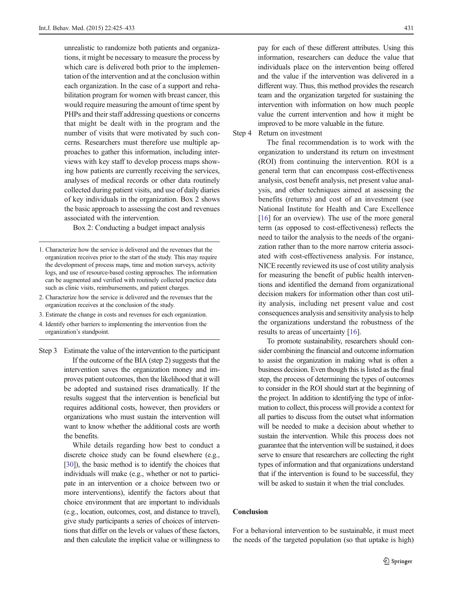unrealistic to randomize both patients and organizations, it might be necessary to measure the process by which care is delivered both prior to the implementation of the intervention and at the conclusion within each organization. In the case of a support and rehabilitation program for women with breast cancer, this would require measuring the amount of time spent by PHPs and their staff addressing questions or concerns that might be dealt with in the program and the number of visits that were motivated by such concerns. Researchers must therefore use multiple approaches to gather this information, including interviews with key staff to develop process maps showing how patients are currently receiving the services, analyses of medical records or other data routinely collected during patient visits, and use of daily diaries of key individuals in the organization. Box 2 shows the basic approach to assessing the cost and revenues associated with the intervention.

Box 2: Conducting a budget impact analysis

- 2. Characterize how the service is delivered and the revenues that the organization receives at the conclusion of the study.
- 3. Estimate the change in costs and revenues for each organization.
- 4. Identify other barriers to implementing the intervention from the organization's standpoint.
- Step 3 Estimate the value of the intervention to the participant If the outcome of the BIA (step 2) suggests that the intervention saves the organization money and improves patient outcomes, then the likelihood that it will be adopted and sustained rises dramatically. If the results suggest that the intervention is beneficial but requires additional costs, however, then providers or organizations who must sustain the intervention will want to know whether the additional costs are worth the benefits.

While details regarding how best to conduct a discrete choice study can be found elsewhere (e.g., [\[30\]](#page-8-0)), the basic method is to identify the choices that individuals will make (e.g., whether or not to participate in an intervention or a choice between two or more interventions), identify the factors about that choice environment that are important to individuals (e.g., location, outcomes, cost, and distance to travel), give study participants a series of choices of interventions that differ on the levels or values of these factors, and then calculate the implicit value or willingness to pay for each of these different attributes. Using this information, researchers can deduce the value that individuals place on the intervention being offered and the value if the intervention was delivered in a different way. Thus, this method provides the research team and the organization targeted for sustaining the intervention with information on how much people value the current intervention and how it might be improved to be more valuable in the future.

Step 4 Return on investment

The final recommendation is to work with the organization to understand its return on investment (ROI) from continuing the intervention. ROI is a general term that can encompass cost-effectiveness analysis, cost benefit analysis, net present value analysis, and other techniques aimed at assessing the benefits (returns) and cost of an investment (see National Institute for Health and Care Excellence [[16\]](#page-7-0) for an overview). The use of the more general term (as opposed to cost-effectiveness) reflects the need to tailor the analysis to the needs of the organization rather than to the more narrow criteria associated with cost-effectiveness analysis. For instance, NICE recently reviewed its use of cost utility analysis for measuring the benefit of public health interventions and identified the demand from organizational decision makers for information other than cost utility analysis, including net present value and cost consequences analysis and sensitivity analysis to help the organizations understand the robustness of the results to areas of uncertainty [[16\]](#page-7-0).

To promote sustainability, researchers should consider combining the financial and outcome information to assist the organization in making what is often a business decision. Even though this is listed as the final step, the process of determining the types of outcomes to consider in the ROI should start at the beginning of the project. In addition to identifying the type of information to collect, this process will provide a context for all parties to discuss from the outset what information will be needed to make a decision about whether to sustain the intervention. While this process does not guarantee that the intervention will be sustained, it does serve to ensure that researchers are collecting the right types of information and that organizations understand that if the intervention is found to be successful, they will be asked to sustain it when the trial concludes.

## Conclusion

For a behavioral intervention to be sustainable, it must meet the needs of the targeted population (so that uptake is high)

<sup>1.</sup> Characterize how the service is delivered and the revenues that the organization receives prior to the start of the study. This may require the development of process maps, time and motion surveys, activity logs, and use of resource-based costing approaches. The information can be augmented and verified with routinely collected practice data such as clinic visits, reimbursements, and patient charges.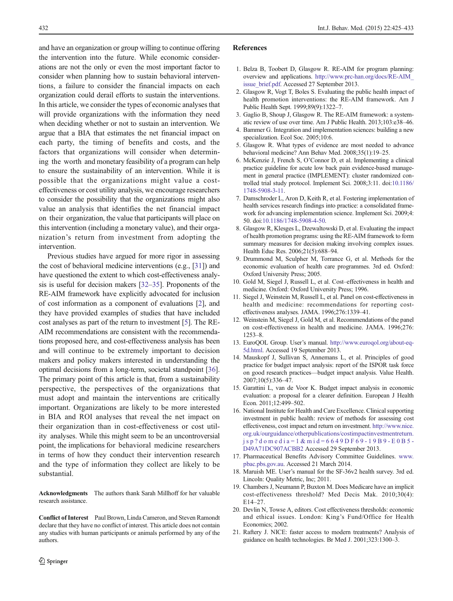<span id="page-7-0"></span>and have an organization or group willing to continue offering the intervention into the future. While economic considerations are not the only or even the most important factor to consider when planning how to sustain behavioral interventions, a failure to consider the financial impacts on each organization could derail efforts to sustain the interventions. In this article, we consider the types of economic analyses that will provide organizations with the information they need when deciding whether or not to sustain an intervention. We argue that a BIA that estimates the net financial impact on each party, the timing of benefits and costs, and the factors that organizations will consider when determining the worth and monetary feasibility of a program can help to ensure the sustainability of an intervention. While it is possible that the organizations might value a costeffectiveness or cost utility analysis, we encourage researchers to consider the possibility that the organizations might also value an analysis that identifies the net financial impact on their organization, the value that participants will place on this intervention (including a monetary value), and their organization's return from investment from adopting the intervention.

Previous studies have argued for more rigor in assessing the cost of behavioral medicine interventions (e.g., [\[31\]](#page-8-0)) and have questioned the extent to which cost-effectiveness analysis is useful for decision makers [[32](#page-8-0)–[35\]](#page-8-0). Proponents of the RE-AIM framework have explicitly advocated for inclusion of cost information as a component of evaluations [2], and they have provided examples of studies that have included cost analyses as part of the return to investment [5]. The RE-AIM recommendations are consistent with the recommendations proposed here, and cost-effectiveness analysis has been and will continue to be extremely important to decision makers and policy makers interested in understanding the optimal decisions from a long-term, societal standpoint [[36\]](#page-8-0). The primary point of this article is that, from a sustainability perspective, the perspectives of the organizations that must adopt and maintain the interventions are critically important. Organizations are likely to be more interested in BIA and ROI analyses that reveal the net impact on their organization than in cost-effectiveness or cost utility analyses. While this might seem to be an uncontroversial point, the implications for behavioral medicine researchers in terms of how they conduct their intervention research and the type of information they collect are likely to be substantial.

Acknowledgments The authors thank Sarah Millhoff for her valuable research assistance.

Conflict of Interest Paul Brown, Linda Cameron, and Steven Ramondt declare that they have no conflict of interest. This article does not contain any studies with human participants or animals performed by any of the authors.

#### References

- 1. Belza B, Toobert D, Glasgow R. RE-AIM for program planning: overview and applications. http://www.prc-han.org/docs/RE-AIM\_ issue brief.pdf. Accessed 27 September 2013.
- 2. Glasgow R, Vogt T, Boles S. Evaluating the public health impact of health promotion interventions: the RE-AIM framework. Am J Public Health Sept. 1999;89(9):1322–7.
- 3. Gaglio B, Shoup J, Glasgow R. The RE-AIM framework: a systematic review of use over time. Am J Public Health. 2013;103:e38–46.
- 4. Bammer G. Integration and implementation sciences: building a new specialization. Ecol Soc. 2005;10:6.
- 5. Glasgow R. What types of evidence are most needed to advance behavioral medicine? Ann Behav Med. 2008;35(1):19–25.
- 6. McKenzie J, French S, O'Connor D, et al. Implementing a clinical practice guideline for acute low back pain evidence-based management in general practice (IMPLEMENT): cluster randomized controlled trial study protocol. Implement Sci. 2008;3:11. doi:10.1186/ 1748-5908-3-11.
- 7. Damschroder L, Aron D, Keith R, et al. Fostering implementation of health services research findings into practice: a consolidated framework for advancing implementation science. Implement Sci. 2009;4: 50. doi:10.1186/1748-5908-4-50.
- 8. Glasgow R, Klesges L, Dzewaltowski D, et al. Evaluating the impact of health promotion programs: using the RE-AIM framework to form summary measures for decision making involving complex issues. Health Educ Res. 2006;21(5):688–94.
- 9. Drummond M, Sculpher M, Torrance G, et al. Methods for the economic evaluation of health care programmes. 3rd ed. Oxford: Oxford University Press; 2005.
- 10. Gold M, Siegel J, Russell L, et al. Cost–effectiveness in health and medicine. Oxford: Oxford University Press; 1996.
- 11. Siegel J, Weinstein M, Russell L, et al. Panel on cost-effectiveness in health and medicine: recommendations for reporting costeffectiveness analyses. JAMA. 1996;276:1339–41.
- 12. Weinstein M, Siegel J, Gold M, et al. Recommendations of the panel on cost-effectiveness in health and medicine. JAMA. 1996;276: 1253–8.
- 13. EuroQOL Group. User's manual. http://www.euroqol.org/about-eq-5d.html. Accessed 19 September 2013.
- 14. Mauskopf J, Sullivan S, Annemans L, et al. Principles of good practice for budget impact analysis: report of the ISPOR task force on good research practices—budget impact analysis. Value Health. 2007;10(5):336–47.
- 15. Garattini L, van de Voor K. Budget impact analysis in economic evaluation: a proposal for a clearer definition. European J Health Econ. 2011;12:499–502.
- 16. National Institute for Health and Care Excellence. Clinical supporting investment in public health: review of methods for assessing cost effectiveness, cost impact and return on investment. http://www.nice. org.uk/ourguidance/otherpublications/costimpactinvestmentreturn. jsp?domedia=1&mid=6649DF69-19B9-E0B5- D49A71DC907ACBB2 Accessed 29 September 2013.
- 17. Pharmaceutical Benefits Advisory Committee Guidelines. www. pbac.pbs.gov.au. Accessed 21 March 2014.
- 18. Maruish ME. User's manual for the SF-36v2 health survey. 3rd ed. Lincoln: Quality Metric, Inc; 2011.
- 19. Chambers J, Neumann P, Buxton M. Does Medicare have an implicit cost-effectiveness threshold? Med Decis Mak. 2010;30(4): E14–27.
- 20. Devlin N, Towse A, editors. Cost effectiveness thresholds: economic and ethical issues. London: King's Fund/Office for Health Economics; 2002.
- 21. Raftery J. NICE: faster access to modern treatments? Analysis of guidance on health technologies. Br Med J. 2001;323:1300–3.